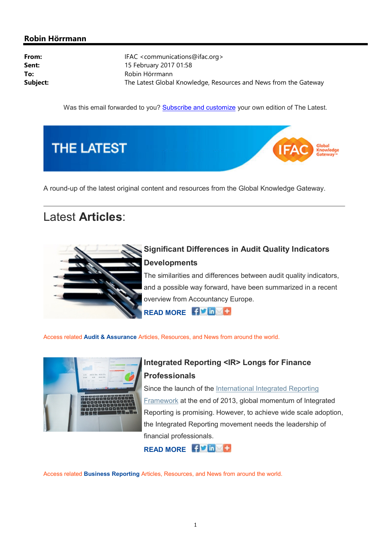### Robin Hörrmann

| From:    | IFAC <communications@ifac.org></communications@ifac.org>         |
|----------|------------------------------------------------------------------|
| Sent:    | 15 February 2017 01:58                                           |
| To:      | Robin Hörrmann                                                   |
| Subject: | The Latest Global Knowledge, Resources and News from the Gateway |

Was this email forwarded to you? Subscribe and customize your own edition of The Latest.



A round-up of the latest original content and resources from the Global Knowledge Gateway.

# Latest Articles:



## Significant Differences in Audit Quality Indicators **Developments**

The similarities and differences between audit quality indicators, and a possible way forward, have been summarized in a recent overview from Accountancy Europe.

READ MORE **Fivily** 

Access related Audit & Assurance Articles, Resources, and News from around the world.



## Integrated Reporting <IR> Longs for Finance Professionals

Since the launch of the International Integrated Reporting Framework at the end of 2013, global momentum of Integrated Reporting is promising. However, to achieve wide scale adoption, the Integrated Reporting movement needs the leadership of financial professionals.

READ MORE HUME

Access related Business Reporting Articles, Resources, and News from around the world.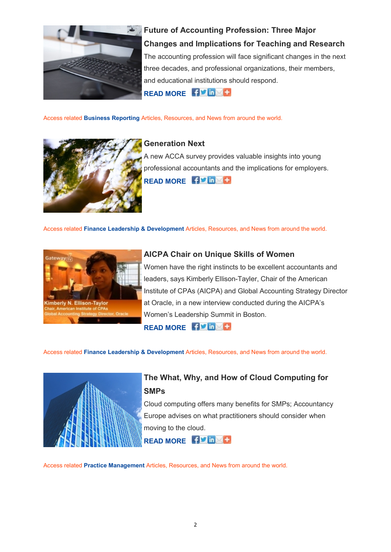

Future of Accounting Profession: Three Major Changes and Implications for Teaching and Research The accounting profession will face significant changes in the next three decades, and professional organizations, their members, and educational institutions should respond. READ MORE FV in

Access related Business Reporting Articles, Resources, and News from around the world.



#### Generation Next

A new ACCA survey provides valuable insights into young professional accountants and the implications for employers. READ MORE **E** 3 M in C

Access related Finance Leadership & Development Articles, Resources, and News from around the world.



### AICPA Chair on Unique Skills of Women

Women have the right instincts to be excellent accountants and leaders, says Kimberly Ellison-Tayler, Chair of the American Institute of CPAs (AICPA) and Global Accounting Strategy Director at Oracle, in a new interview conducted during the AICPA's Women's Leadership Summit in Boston.

READ MORE **EV** in

Access related Finance Leadership & Development Articles, Resources, and News from around the world.



### The What, Why, and How of Cloud Computing for **SMPs**

Cloud computing offers many benefits for SMPs; Accountancy Europe advises on what practitioners should consider when moving to the cloud.

READ MORE **EP IN CO** 

Access related Practice Management Articles, Resources, and News from around the world.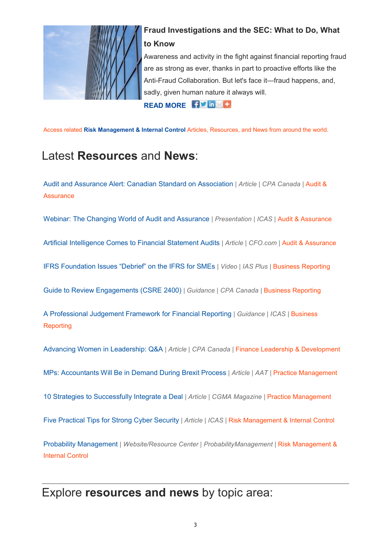

### Fraud Investigations and the SEC: What to Do, What to Know

Awareness and activity in the fight against financial reporting fraud are as strong as ever, thanks in part to proactive efforts like the Anti-Fraud Collaboration. But let's face it—fraud happens, and, sadly, given human nature it always will.

READ MORE HIS TO

Access related Risk Management & Internal Control Articles, Resources, and News from around the world.

# Latest Resources and News:

Audit and Assurance Alert: Canadian Standard on Association | Article | CPA Canada | Audit & **Assurance** 

Webinar: The Changing World of Audit and Assurance | Presentation | ICAS | Audit & Assurance

Artificial Intelligence Comes to Financial Statement Audits | Article | CFO.com | Audit & Assurance

IFRS Foundation Issues "Debrief" on the IFRS for SMEs | Video | IAS Plus | Business Reporting

Guide to Review Engagements (CSRE 2400) | Guidance | CPA Canada | Business Reporting

A Professional Judgement Framework for Financial Reporting | Guidance | ICAS | Business **Reporting** 

Advancing Women in Leadership: Q&A | Article | CPA Canada | Finance Leadership & Development

MPs: Accountants Will Be in Demand During Brexit Process | Article | AAT | Practice Management

10 Strategies to Successfully Integrate a Deal | Article | CGMA Magazine | Practice Management

Five Practical Tips for Strong Cyber Security | Article | ICAS | Risk Management & Internal Control

Probability Management | Website/Resource Center | ProbabilityManagement | Risk Management & Internal Control

# Explore resources and news by topic area: